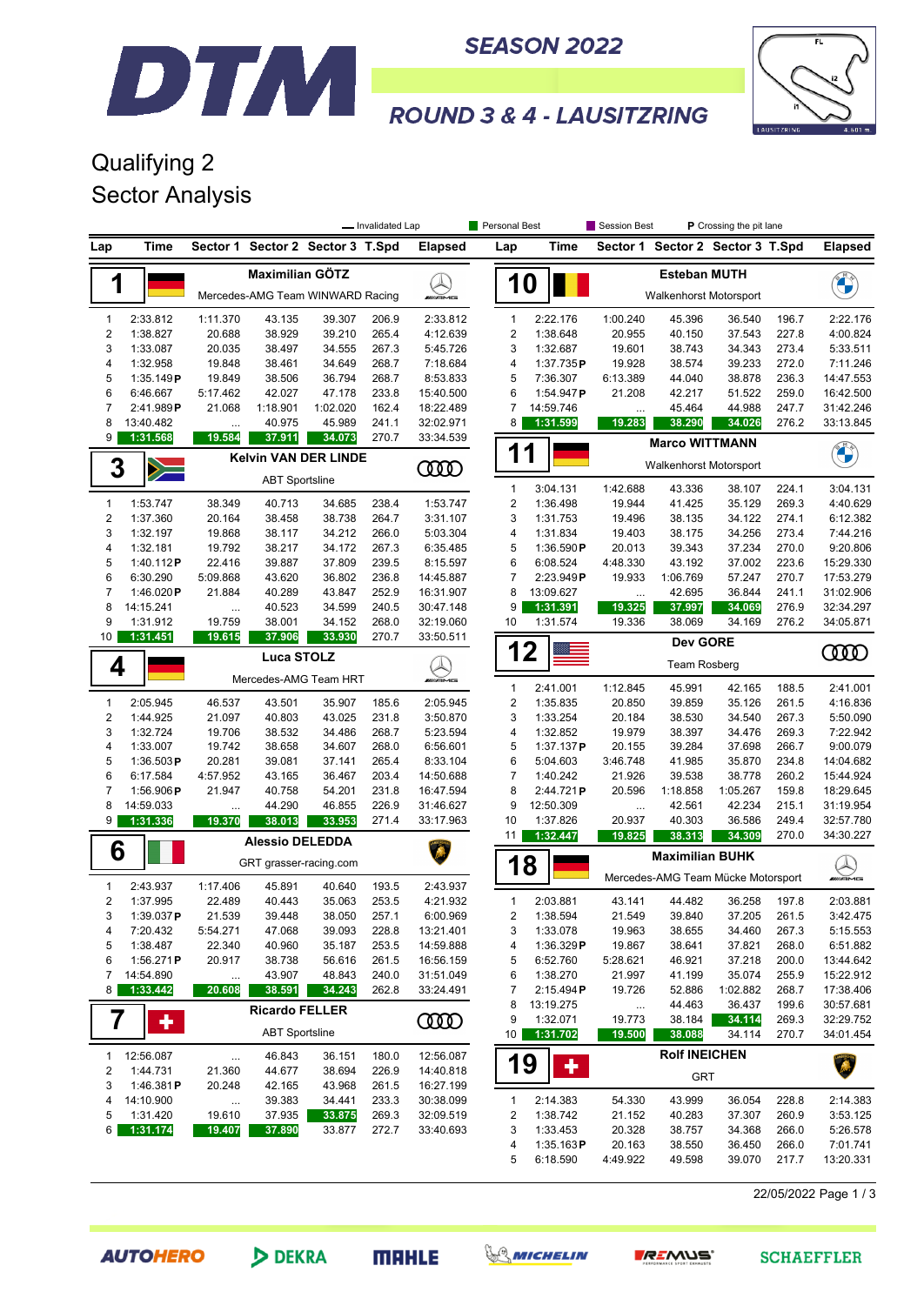



### **ROUND 3 & 4 - LAUSITZRING**

### Qualifying 2 Sector Analysis

DTM

|                              |                       |                       |                        | P Crossing the pit lane<br>- Invalidated Lap<br>Personal Best<br><b>Session Best</b> |                |                        |                         |                             |                                                      |                                    |                    |                |                        |  |
|------------------------------|-----------------------|-----------------------|------------------------|--------------------------------------------------------------------------------------|----------------|------------------------|-------------------------|-----------------------------|------------------------------------------------------|------------------------------------|--------------------|----------------|------------------------|--|
| Lap                          | Time                  | Sector 1              |                        | Sector 2 Sector 3 T.Spd                                                              |                | <b>Elapsed</b>         | Lap                     | Time                        |                                                      | Sector 1 Sector 2 Sector 3 T.Spd   |                    |                | <b>Elapsed</b>         |  |
| 1                            |                       |                       | <b>Maximilian GÖTZ</b> | Mercedes-AMG Team WINWARD Racing                                                     |                | <b><i>UNI</i>AME</b>   | <b>10</b>               |                             | <b>Esteban MUTH</b><br><b>Walkenhorst Motorsport</b> |                                    |                    |                | <b>CALCIO</b>          |  |
| 1                            | 2:33.812              | 1:11.370              | 43.135                 | 39.307                                                                               | 206.9          | 2:33.812               | 1                       | 2:22.176                    | 1:00.240                                             | 45.396                             | 36.540             | 196.7          | 2:22.176               |  |
| $\overline{\mathbf{c}}$      | 1:38.827              | 20.688                | 38.929                 | 39.210                                                                               | 265.4          | 4:12.639               | $\overline{\mathbf{c}}$ | 1:38.648                    | 20.955                                               | 40.150                             | 37.543             | 227.8          | 4:00.824               |  |
| 3                            | 1:33.087              | 20.035                | 38.497                 | 34.555                                                                               | 267.3          | 5:45.726               | 3                       | 1:32.687                    | 19.601                                               | 38.743                             | 34.343             | 273.4          | 5:33.511               |  |
| 4                            | 1:32.958              | 19.848                | 38.461                 | 34.649                                                                               | 268.7          | 7:18.684               | 4                       | 1:37.735P                   | 19.928                                               | 38.574                             | 39.233             | 272.0          | 7:11.246               |  |
| 5                            | 1:35.149P             | 19.849                | 38.506                 | 36.794                                                                               | 268.7          | 8:53.833               | 5                       | 7:36.307                    | 6:13.389                                             | 44.040                             | 38.878             | 236.3          | 14:47.553              |  |
| 6                            | 6:46.667              | 5:17.462              | 42.027                 | 47.178                                                                               | 233.8          | 15:40.500              | 6                       | 1:54.947P                   | 21.208                                               | 42.217                             | 51.522             | 259.0          | 16:42.500              |  |
| 7                            | 2:41.989P             | 21.068                | 1:18.901               | 1:02.020                                                                             | 162.4          | 18:22.489              | 7                       | 14:59.746                   | $\ddotsc$                                            | 45.464                             | 44.988             | 247.7          | 31:42.246              |  |
| 8<br>9                       | 13:40.482<br>1:31.568 | $\cdots$<br>19.584    | 40.975<br>37.911       | 45.989<br>34.073                                                                     | 241.1<br>270.7 | 32:02.971<br>33:34.539 | 8                       | 1:31.599                    | 19.283                                               | 38.290                             | 34.026             | 276.2          | 33:13.845              |  |
|                              |                       |                       |                        | <b>Kelvin VAN DER LINDE</b>                                                          |                |                        |                         | <b>Marco WITTMANN</b><br>11 |                                                      |                                    |                    |                |                        |  |
| 3                            |                       | <b>ABT Sportsline</b> |                        |                                                                                      |                | 0000                   |                         |                             | Walkenhorst Motorsport                               |                                    |                    |                | <b>CALCIO</b>          |  |
|                              |                       |                       |                        |                                                                                      |                |                        | $\mathbf{1}$            | 3:04.131                    | 1:42.688                                             | 43.336                             | 38.107             | 224.1          | 3:04.131               |  |
| $\mathbf{1}$                 | 1:53.747              | 38.349                | 40.713                 | 34.685                                                                               | 238.4          | 1:53.747               | $\boldsymbol{2}$<br>3   | 1:36.498                    | 19.944                                               | 41.425                             | 35.129             | 269.3          | 4:40.629               |  |
| $\overline{\mathbf{c}}$<br>3 | 1:37.360<br>1:32.197  | 20.164<br>19.868      | 38.458<br>38.117       | 38.738<br>34.212                                                                     | 264.7<br>266.0 | 3:31.107<br>5:03.304   | 4                       | 1:31.753<br>1:31.834        | 19.496<br>19.403                                     | 38.135<br>38.175                   | 34.122<br>34.256   | 274.1<br>273.4 | 6:12.382<br>7:44.216   |  |
| 4                            | 1:32.181              | 19.792                | 38.217                 | 34.172                                                                               | 267.3          | 6:35.485               | 5                       | 1:36.590P                   | 20.013                                               | 39.343                             | 37.234             | 270.0          | 9:20.806               |  |
| 5                            | 1:40.112P             | 22.416                | 39.887                 | 37.809                                                                               | 239.5          | 8:15.597               | 6                       | 6:08.524                    | 4:48.330                                             | 43.192                             | 37.002             | 223.6          | 15:29.330              |  |
| 6                            | 6:30.290              | 5:09.868              | 43.620                 | 36.802                                                                               | 236.8          | 14:45.887              | 7                       | 2:23.949P                   | 19.933                                               | 1:06.769                           | 57.247             | 270.7          | 17:53.279              |  |
| $\overline{7}$               | 1:46.020 $P$          | 21.884                | 40.289                 | 43.847                                                                               | 252.9          | 16:31.907              | 8                       | 13:09.627                   | $\ldots$                                             | 42.695                             | 36.844             | 241.1          | 31:02.906              |  |
| 8                            | 14:15.241             | $\cdots$              | 40.523                 | 34.599                                                                               | 240.5          | 30:47.148              | 9                       | 1:31.391                    | 19.325                                               | 37.997                             | 34.069             | 276.9          | 32:34.297              |  |
| 9                            | 1:31.912              | 19.759                | 38.001                 | 34.152                                                                               | 268.0          | 32:19.060              | 10                      | 1:31.574                    | 19.336                                               | 38.069                             | 34.169             | 276.2          | 34:05.871              |  |
| 10                           | 1:31.451              | 19.615                | 37.906                 | 33.930                                                                               | 270.7          | 33:50.511              |                         |                             |                                                      | <b>Dev GORE</b>                    |                    |                |                        |  |
|                              |                       |                       | <b>Luca STOLZ</b>      |                                                                                      |                |                        | 1                       | $\mathbf 2$                 |                                                      | <b>Team Rosberg</b>                |                    |                | ŒŒ                     |  |
| 4                            |                       |                       |                        | Mercedes-AMG Team HRT                                                                |                | WAME                   | $\mathbf{1}$            |                             |                                                      | 45.991                             | 42.165             | 188.5          | 2:41.001               |  |
| $\mathbf{1}$                 | 2:05.945              | 46.537                | 43.501                 | 35.907                                                                               | 185.6          | 2:05.945               | $\overline{2}$          | 2:41.001<br>1:35.835        | 1:12.845<br>20.850                                   | 39.859                             | 35.126             | 261.5          | 4:16.836               |  |
| $\sqrt{2}$                   | 1:44.925              | 21.097                | 40.803                 | 43.025                                                                               | 231.8          | 3:50.870               | 3                       | 1:33.254                    | 20.184                                               | 38.530                             | 34.540             | 267.3          | 5:50.090               |  |
| 3                            | 1:32.724              | 19.706                | 38.532                 | 34.486                                                                               | 268.7          | 5:23.594               | 4                       | 1:32.852                    | 19.979                                               | 38.397                             | 34.476             | 269.3          | 7:22.942               |  |
| 4                            | 1:33.007              | 19.742                | 38.658                 | 34.607                                                                               | 268.0          | 6:56.601               | 5                       | 1:37.137P                   | 20.155                                               | 39.284                             | 37.698             | 266.7          | 9:00.079               |  |
| 5                            | 1:36.503P             | 20.281                | 39.081                 | 37.141                                                                               | 265.4          | 8:33.104               | 6                       | 5:04.603                    | 3:46.748                                             | 41.985                             | 35.870             | 234.8          | 14:04.682              |  |
| 6                            | 6:17.584              | 4:57.952              | 43.165                 | 36.467                                                                               | 203.4          | 14:50.688              | 7                       | 1:40.242                    | 21.926                                               | 39.538                             | 38.778             | 260.2          | 15:44.924              |  |
| $\overline{7}$               | 1:56.906P             | 21.947                | 40.758                 | 54.201                                                                               | 231.8          | 16:47.594              | 8                       | 2:44.721P                   | 20.596                                               | 1:18.858                           | 1:05.267           | 159.8          | 18:29.645              |  |
| 8                            | 14:59.033             | $\cdots$              | 44.290                 | 46.855                                                                               | 226.9          | 31:46.627              | 9                       | 12:50.309                   | $\cdots$                                             | 42.561                             | 42.234             | 215.1          | 31:19.954              |  |
| 9                            | 1:31.336              | 19.370                | 38.013                 | 33.953                                                                               | 271.4          | 33:17.963              | 10                      | 1:37.826                    | 20.937                                               | 40.303                             | 36.586             | 249.4          | 32:57.780              |  |
| 6                            |                       |                       | <b>Alessio DELEDDA</b> |                                                                                      |                |                        | 11                      | 1:32.447                    | 19.825                                               | 38.313<br><b>Maximilian BUHK</b>   | 34.309             | 270.0          | 34:30.227              |  |
|                              |                       |                       | GRT grasser-racing.com |                                                                                      |                |                        | 18                      |                             |                                                      |                                    |                    |                |                        |  |
| 1                            | 2:43.937              | 1:17.406              | 45.891                 | 40.640                                                                               | 193.5          | 2:43.937               |                         |                             |                                                      | Mercedes-AMG Team Mücke Motorsport |                    |                | <b>MUANS</b>           |  |
| 2                            | 1:37.995              | 22.489                | 40.443                 | 35.063                                                                               | 253.5          | 4:21.932               | $\mathbf{1}$            | 2:03.881                    | 43.141                                               | 44.482                             | 36.258             | 197.8          | 2:03.881               |  |
| 3                            | $1:39.037$ P          | 21.539                | 39.448                 | 38.050                                                                               | 257.1          | 6:00.969               | 2                       | 1:38.594                    | 21.549                                               | 39.840                             | 37.205             | 261.5          | 3:42.475               |  |
| 4                            | 7:20.432              | 5:54.271              | 47.068                 | 39.093                                                                               | 228.8          | 13:21.401              | 3                       | 1:33.078                    | 19.963                                               | 38.655                             | 34.460             | 267.3          | 5:15.553               |  |
| 5                            | 1:38.487              | 22.340                | 40.960                 | 35.187                                                                               | 253.5          | 14:59.888              | 4                       | 1:36.329P                   | 19.867                                               | 38.641                             | 37.821             | 268.0          | 6:51.882               |  |
| 6<br>7                       | 1:56.271P             | 20.917                | 38.738                 | 56.616                                                                               | 261.5          | 16:56.159              | 5                       | 6:52.760                    | 5:28.621                                             | 46.921                             | 37.218             | 200.0          | 13:44.642              |  |
| 8                            | 14:54.890<br>1:33.442 | $\cdots$<br>20.608    | 43.907<br>38.591       | 48.843<br>34.243                                                                     | 240.0<br>262.8 | 31:51.049<br>33:24.491 | 6<br>7                  | 1:38.270<br>2:15.494P       | 21.997<br>19.726                                     | 41.199<br>52.886                   | 35.074<br>1:02.882 | 255.9<br>268.7 | 15:22.912<br>17:38.406 |  |
|                              |                       |                       |                        |                                                                                      |                |                        | 8                       | 13:19.275                   |                                                      | 44.463                             | 36.437             | 199.6          | 30:57.681              |  |
| 7                            | ٠                     |                       | <b>Ricardo FELLER</b>  |                                                                                      |                | <b>COOD</b>            | 9                       | 1:32.071                    | $\ldots$<br>19.773                                   | 38.184                             | 34.114             | 269.3          | 32:29.752              |  |
|                              |                       |                       | <b>ABT Sportsline</b>  |                                                                                      |                |                        | 10 I                    | 1:31.702                    | 19.500                                               | 38.088                             | 34.114             | 270.7          | 34:01.454              |  |
| $\mathbf{1}$                 | 12:56.087             | $\cdots$              | 46.843                 | 36.151                                                                               | 180.0          | 12:56.087              |                         |                             |                                                      | <b>Rolf INEICHEN</b>               |                    |                |                        |  |
| 2                            | 1:44.731              | 21.360                | 44.677                 | 38.694                                                                               | 226.9          | 14:40.818              | 19                      | ٠                           |                                                      | <b>GRT</b>                         |                    |                | A                      |  |
| 3                            | 1:46.381P             | 20.248                | 42.165                 | 43.968                                                                               | 261.5          | 16:27.199              |                         |                             |                                                      |                                    |                    |                |                        |  |
| 4                            | 14:10.900             | $\ldots$              | 39.383                 | 34.441                                                                               | 233.3          | 30:38.099              | $\mathbf{1}$            | 2:14.383                    | 54.330                                               | 43.999                             | 36.054             | 228.8          | 2:14.383               |  |
| 5                            | 1:31.420              | 19.610                | 37.935                 | 33.875                                                                               | 269.3          | 32:09.519              | 2                       | 1:38.742                    | 21.152                                               | 40.283                             | 37.307             | 260.9          | 3:53.125               |  |
| 6                            | 1:31.174              | 19.407                | 37.890                 | 33.877                                                                               | 272.7          | 33:40.693              | 3                       | 1:33.453                    | 20.328                                               | 38.757                             | 34.368             | 266.0          | 5:26.578               |  |
|                              |                       |                       |                        |                                                                                      |                |                        | 4<br>5                  | 1:35.163P<br>6:18.590       | 20.163<br>4:49.922                                   | 38.550<br>49.598                   | 36.450<br>39.070   | 266.0<br>217.7 | 7:01.741<br>13:20.331  |  |
|                              |                       |                       |                        |                                                                                      |                |                        |                         |                             |                                                      |                                    |                    |                |                        |  |

22/05/2022 Page 1 / 3

**AUTOHERO** 

DEKRA





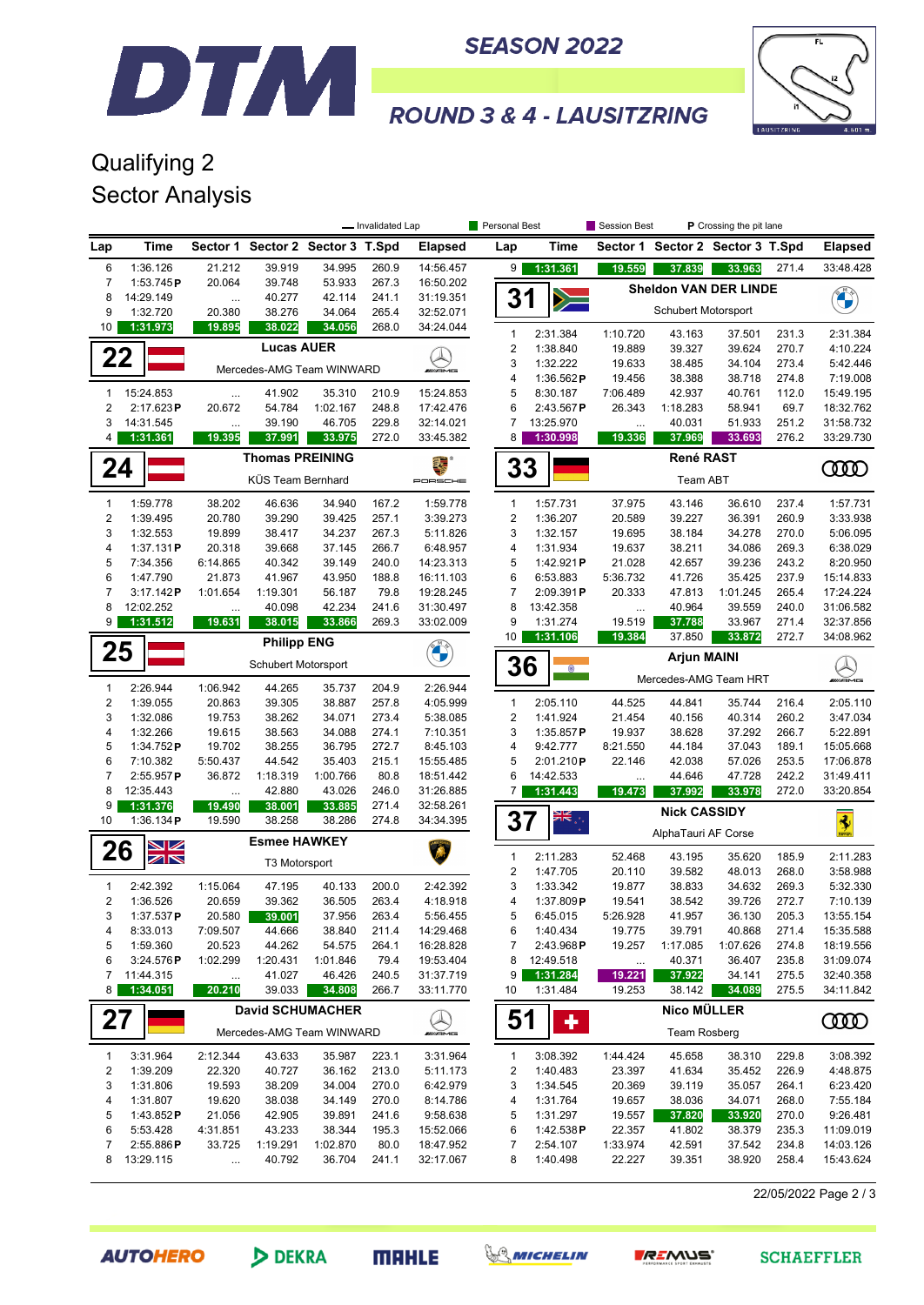



**ROUND 3 & 4 - LAUSITZRING** 

### Qualifying 2 Sector Analysis

|                     |                                             |                           |                                  |                    | - Invalidated Lap |                          | Personal Best                  |                          | Session Best        | P Crossing the pit lane                     |                    |                |                        |  |
|---------------------|---------------------------------------------|---------------------------|----------------------------------|--------------------|-------------------|--------------------------|--------------------------------|--------------------------|---------------------|---------------------------------------------|--------------------|----------------|------------------------|--|
| Lap                 | Time                                        |                           | Sector 1 Sector 2 Sector 3 T.Spd |                    |                   | <b>Elapsed</b>           | Lap                            | Time                     |                     | Sector 1 Sector 2 Sector 3 T.Spd            |                    |                | <b>Elapsed</b>         |  |
| 6                   | 1:36.126                                    | 21.212                    | 39.919                           | 34.995             | 260.9             | 14:56.457                | 9                              | 1:31.361                 | 19.559              | 37.839                                      | 33.963             | 271.4          | 33:48.428              |  |
| $\overline{7}$<br>8 | 1:53.745P                                   | 20.064                    | 39.748                           | 53.933             | 267.3             | 16:50.202                |                                |                          |                     | <b>Sheldon VAN DER LINDE</b>                |                    |                |                        |  |
| 9                   | 14:29.149<br>1:32.720                       | <br>20.380                | 40.277<br>38.276                 | 42.114<br>34.064   | 241.1<br>265.4    | 31:19.351<br>32:52.071   | 31                             |                          |                     | Schubert Motorsport                         |                    |                | <b>CALLES</b>          |  |
| 10                  | 1:31.973                                    | 19.895                    | 38.022                           | 34.056             | 268.0             | 34:24.044                | $\mathbf{1}$                   | 2:31.384                 | 1:10.720            | 43.163                                      | 37.501             | 231.3          | 2:31.384               |  |
|                     |                                             |                           | <b>Lucas AUER</b>                |                    |                   |                          | $\sqrt{2}$                     | 1:38.840                 | 19.889              | 39.327                                      | 39.624             | 270.7          | 4:10.224               |  |
| 22                  |                                             |                           | Mercedes-AMG Team WINWARD        |                    |                   | <b><i>INNE</i></b>       | 3                              | 1:32.222                 | 19.633              | 38.485                                      | 34.104             | 273.4          | 5:42.446               |  |
|                     |                                             |                           |                                  |                    |                   |                          | 4                              | 1:36.562P                | 19.456              | 38.388                                      | 38.718             | 274.8          | 7:19.008               |  |
| 1<br>2              | 15:24.853<br>2:17.623P                      | $\cdots$<br>20.672        | 41.902<br>54.784                 | 35.310<br>1:02.167 | 210.9<br>248.8    | 15:24.853<br>17:42.476   | 5<br>6                         | 8:30.187<br>2:43.567P    | 7:06.489<br>26.343  | 42.937<br>1:18.283                          | 40.761<br>58.941   | 112.0<br>69.7  | 15:49.195<br>18:32.762 |  |
| 3                   | 14:31.545                                   |                           | 39.190                           | 46.705             | 229.8             | 32:14.021                | 7                              | 13:25.970                | $\ldots$            | 40.031                                      | 51.933             | 251.2          | 31:58.732              |  |
| 4                   | 1:31.361                                    | 19.395                    | 37.991                           | 33.975             | 272.0             | 33:45.382                | 8                              | 1:30.998                 | 19.336              | 37.969                                      | 33.693             | 276.2          | 33:29.730              |  |
| 24                  |                                             |                           | <b>Thomas PREINING</b>           |                    |                   |                          | 33                             |                          |                     |                                             | <b>COOD</b>        |                |                        |  |
|                     |                                             | KÜS Team Bernhard         |                                  |                    | PORSCHE           |                          |                                |                          |                     |                                             |                    |                |                        |  |
| 1                   | 1:59.778                                    | 38.202                    | 46.636                           | 34.940             | 167.2             | 1:59.778                 | $\mathbf{1}$                   | 1:57.731                 | 37.975              | 43.146                                      | 36.610             | 237.4          | 1:57.731               |  |
| 2                   | 1:39.495                                    | 20.780                    | 39.290                           | 39.425             | 257.1             | 3:39.273                 | $\boldsymbol{2}$               | 1:36.207                 | 20.589              | 39.227                                      | 36.391             | 260.9          | 3:33.938               |  |
| 3                   | 1:32.553                                    | 19.899                    | 38.417                           | 34.237             | 267.3             | 5:11.826                 | 3                              | 1:32.157                 | 19.695              | 38.184                                      | 34.278             | 270.0          | 5:06.095               |  |
| 4<br>5              | 1:37.131P<br>7:34.356                       | 20.318<br>6:14.865        | 39.668<br>40.342                 | 37.145<br>39.149   | 266.7<br>240.0    | 6:48.957<br>14:23.313    | 4<br>5                         | 1:31.934<br>1:42.921 $P$ | 19.637<br>21.028    | 38.211<br>42.657                            | 34.086<br>39.236   | 269.3<br>243.2 | 6:38.029<br>8:20.950   |  |
| 6                   | 1:47.790                                    | 21.873                    | 41.967                           | 43.950             | 188.8             | 16:11.103                | 6                              | 6:53.883                 | 5:36.732            | 41.726                                      | 35.425             | 237.9          | 15:14.833              |  |
| $\overline{7}$      | 3:17.142P                                   | 1:01.654                  | 1:19.301                         | 56.187             | 79.8              | 19:28.245                | 7                              | 2:09.391P                | 20.333              | 47.813                                      | 1:01.245           | 265.4          | 17:24.224              |  |
| 8                   | 12:02.252                                   | $\cdots$                  | 40.098                           | 42.234             | 241.6             | 31:30.497                | 8                              | 13:42.358                | $\ddotsc$           | 40.964                                      | 39.559             | 240.0          | 31:06.582              |  |
| 9                   | 1:31.512                                    | 19.631                    | 38.015                           | 33.866             | 269.3             | 33:02.009                | 9<br>10                        | 1:31.274<br>1:31.106     | 19.519<br>19.384    | 37.788<br>37.850                            | 33.967<br>33.872   | 271.4<br>272.7 | 32:37.856<br>34:08.962 |  |
| 25                  |                                             |                           | <b>Philipp ENG</b>               |                    |                   | U                        |                                |                          |                     |                                             |                    |                |                        |  |
|                     |                                             | Schubert Motorsport       |                                  |                    |                   |                          | 36                             | $\bullet$                |                     | <b>Arjun MAINI</b><br>Mercedes-AMG Team HRT |                    |                |                        |  |
| 1                   | 2:26.944                                    | 1:06.942                  | 44.265                           | 35.737             | 204.9             | 2:26.944                 |                                |                          |                     |                                             |                    |                | mmans                  |  |
| 2<br>3              | 1:39.055<br>1:32.086                        | 20.863<br>19.753          | 39.305<br>38.262                 | 38.887<br>34.071   | 257.8<br>273.4    | 4:05.999<br>5:38.085     | $\mathbf{1}$<br>$\overline{c}$ | 2:05.110<br>1:41.924     | 44.525<br>21.454    | 44.841<br>40.156                            | 35.744<br>40.314   | 216.4<br>260.2 | 2:05.110<br>3:47.034   |  |
| 4                   | 1:32.266                                    | 19.615                    | 38.563                           | 34.088             | 274.1             | 7:10.351                 | 3                              | 1:35.857P                | 19.937              | 38.628                                      | 37.292             | 266.7          | 5:22.891               |  |
| 5                   | 1:34.752P                                   | 19.702                    | 38.255                           | 36.795             | 272.7             | 8:45.103                 | 4                              | 9:42.777                 | 8:21.550            | 44.184                                      | 37.043             | 189.1          | 15:05.668              |  |
| 6                   | 7:10.382                                    | 5:50.437                  | 44.542                           | 35.403             | 215.1             | 15:55.485                | 5                              | 2:01.210P                | 22.146              | 42.038                                      | 57.026             | 253.5          | 17:06.878              |  |
| 7                   | $2:55.957$ P                                | 36.872                    | 1:18.319                         | 1:00.766           | 80.8              | 18:51.442                | 6                              | 14:42.533                |                     | 44.646                                      | 47.728             | 242.2          | 31:49.411              |  |
| 8<br>9              | 12:35.443<br>1:31.376                       | $\ddotsc$<br>19.490       | 42.880<br>38.001                 | 43.026<br>33.885   | 246.0<br>271.4    | 31:26.885<br>32:58.261   | $\overline{7}$                 | 1:31.443                 | 19.473              | 37.992                                      | 33.978             | 272.0          | 33:20.854              |  |
| 10                  | 1:36.134P                                   | 19.590                    | 38.258                           | 38.286             | 274.8             | 34:34.395                | 37                             | <b>AIR</b>               |                     | <b>Nick CASSIDY</b>                         |                    |                | $\frac{1}{2}$          |  |
| 26                  | $\blacktriangleright$ $\blacktriangleright$ |                           | <b>Esmee HAWKEY</b>              |                    |                   |                          |                                |                          | AlphaTauri AF Corse |                                             |                    |                |                        |  |
|                     | $\mathbb{Z} \mathbb{N}$                     |                           | T3 Motorsport                    |                    |                   |                          | $\mathbf{1}$                   | 2:11.283                 | 52.468              | 43.195                                      | 35.620             | 185.9          | 2:11.283               |  |
| 1                   | 2:42.392                                    | 1:15.064                  | 47.195                           | 40.133             | 200.0             | 2:42.392                 | $\boldsymbol{2}$<br>3          | 1:47.705<br>1:33.342     | 20.110<br>19.877    | 39.582<br>38.833                            | 48.013<br>34.632   | 268.0<br>269.3 | 3:58.988<br>5:32.330   |  |
| 2                   | 1:36.526                                    | 20.659                    | 39.362                           | 36.505             | 263.4             | 4:18.918                 | 4                              | 1:37.809P                | 19.541              | 38.542                                      | 39.726             | 272.7          | 7:10.139               |  |
| 3                   | $1:37.537$ P                                | 20.580                    | 39.001                           | 37.956             | 263.4             | 5:56.455                 | 5                              | 6:45.015                 | 5:26.928            | 41.957                                      | 36.130             | 205.3          | 13:55.154              |  |
| 4                   | 8:33.013                                    | 7:09.507                  | 44.666                           | 38.840             | 211.4             | 14:29.468                | 6                              | 1:40.434                 | 19.775              | 39.791                                      | 40.868             | 271.4          | 15:35.588              |  |
| 5<br>6              | 1:59.360<br>3:24.576P                       | 20.523<br>1:02.299        | 44.262<br>1:20.431               | 54.575<br>1:01.846 | 264.1<br>79.4     | 16:28.828<br>19:53.404   | 7<br>8                         | 2:43.968P<br>12:49.518   | 19.257              | 1:17.085<br>40.371                          | 1:07.626<br>36.407 | 274.8<br>235.8 | 18:19.556<br>31:09.074 |  |
| 7                   | 11:44.315                                   |                           | 41.027                           | 46.426             | 240.5             | 31:37.719                | 9                              | 1:31.284                 | $\cdots$<br>19.221  | 37.922                                      | 34.141             | 275.5          | 32:40.358              |  |
| 8                   | 1:34.051                                    | 20.210                    | 39.033                           | 34.808             | 266.7             | 33:11.770                | 10                             | 1:31.484                 | 19.253              | 38.142                                      | 34.089             | 275.5          | 34:11.842              |  |
|                     |                                             |                           | <b>David SCHUMACHER</b>          |                    |                   |                          | 51                             |                          |                     |                                             |                    |                |                        |  |
| 27                  |                                             | Mercedes-AMG Team WINWARD |                                  |                    |                   | $\bigotimes_{m\equiv m}$ |                                | ٠                        |                     | Team Rosberg                                |                    |                | <b>COOD</b>            |  |
| 1                   | 3:31.964                                    | 2:12.344                  | 43.633                           | 35.987             | 223.1             | 3:31.964                 | $\mathbf{1}$                   | 3:08.392                 | 1:44.424            | 45.658                                      | 38.310             | 229.8          | 3:08.392               |  |
| 2                   | 1:39.209                                    | 22.320                    | 40.727                           | 36.162             | 213.0             | 5:11.173                 | 2                              | 1:40.483                 | 23.397              | 41.634                                      | 35.452             | 226.9          | 4:48.875               |  |
| 3                   | 1:31.806                                    | 19.593                    | 38.209                           | 34.004             | 270.0             | 6:42.979                 | 3                              | 1:34.545                 | 20.369              | 39.119                                      | 35.057<br>34.071   | 264.1          | 6:23.420               |  |
| 4<br>5              | 1:31.807<br>1:43.852 $P$                    | 19.620<br>21.056          | 38.038<br>42.905                 | 34.149<br>39.891   | 270.0<br>241.6    | 8:14.786<br>9:58.638     | 4<br>5                         | 1:31.764<br>1:31.297     | 19.657<br>19.557    | 38.036<br>37.820                            | 33.920             | 268.0<br>270.0 | 7:55.184<br>9:26.481   |  |
| 6                   | 5:53.428                                    | 4:31.851                  | 43.233                           | 38.344             | 195.3             | 15:52.066                | 6                              | 1:42.538 $P$             | 22.357              | 41.802                                      | 38.379             | 235.3          | 11:09.019              |  |
| 7                   | 2:55.886P                                   | 33.725                    | 1:19.291                         | 1:02.870           | 80.0              | 18:47.952                | 7                              | 2:54.107                 | 1:33.974            | 42.591                                      | 37.542             | 234.8          | 14:03.126              |  |
| 8                   | 13:29.115                                   |                           | 40.792                           | 36.704             | 241.1             | 32:17.067                | 8                              | 1:40.498                 | 22.227              | 39.351                                      | 38.920             | 258.4          | 15:43.624              |  |

22/05/2022 Page 2 / 3